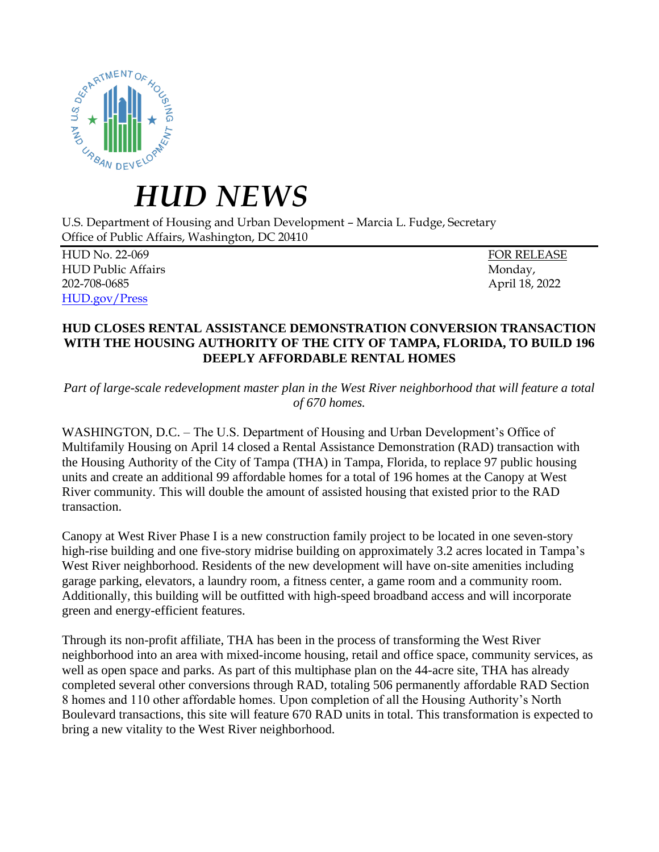

## *HUD NEWS*

U.S. Department of Housing and Urban Development – Marcia L. Fudge, Secretary Office of Public Affairs, Washington, DC 20410

HUD No. 22-069 FOR RELEASE HUD Public Affairs **Monday**, **Monday**, **Monday**, **Monday**, **Monday**, **Monday**, **Monday**, **Monday**, **Monday**, **Monday**, **Monday**, **Monday**, **Monday**, **Monday**, **Monday**, **Monday**, **Monday**, **Monday**, **Monday**, **Monday**, **Mo** 202-708-0685 April 18, 2022 [HUD.gov/Press](https://www.hud.gov/press)

## **HUD CLOSES RENTAL ASSISTANCE DEMONSTRATION CONVERSION TRANSACTION WITH THE HOUSING AUTHORITY OF THE CITY OF TAMPA, FLORIDA, TO BUILD 196 DEEPLY AFFORDABLE RENTAL HOMES**

*Part of large-scale redevelopment master plan in the West River neighborhood that will feature a total of 670 homes.*

WASHINGTON, D.C. – The U.S. Department of Housing and Urban Development's Office of Multifamily Housing on April 14 closed a Rental Assistance Demonstration (RAD) transaction with the Housing Authority of the City of Tampa (THA) in Tampa, Florida, to replace 97 public housing units and create an additional 99 affordable homes for a total of 196 homes at the Canopy at West River community*.* This will double the amount of assisted housing that existed prior to the RAD transaction.

Canopy at West River Phase I is a new construction family project to be located in one seven-story high-rise building and one five-story midrise building on approximately 3.2 acres located in Tampa's West River neighborhood. Residents of the new development will have on-site amenities including garage parking, elevators, a laundry room, a fitness center, a game room and a community room. Additionally, this building will be outfitted with high-speed broadband access and will incorporate green and energy-efficient features.

Through its non-profit affiliate, THA has been in the process of transforming the West River neighborhood into an area with mixed-income housing, retail and office space, community services, as well as open space and parks. As part of this multiphase plan on the 44-acre site, THA has already completed several other conversions through RAD, totaling 506 permanently affordable RAD Section 8 homes and 110 other affordable homes. Upon completion of all the Housing Authority's North Boulevard transactions, this site will feature 670 RAD units in total. This transformation is expected to bring a new vitality to the West River neighborhood.